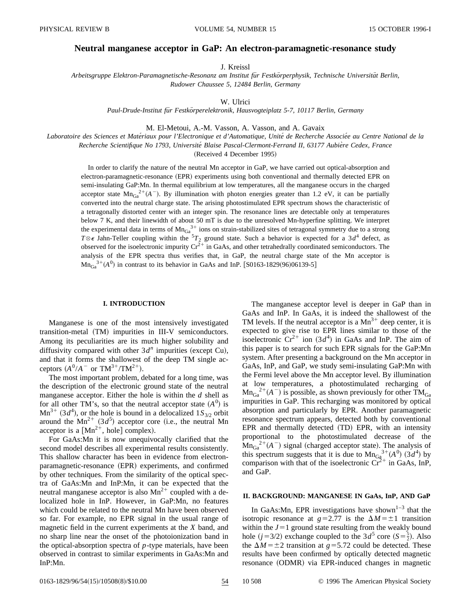# **Neutral manganese acceptor in GaP: An electron-paramagnetic-resonance study**

J. Kreissl

*Arbeitsgruppe Elektron-Paramagnetische-Resonanz am Institut fu¨r Festko¨rperphysik, Technische Universita¨t Berlin, Rudower Chaussee 5, 12484 Berlin, Germany*

W. Ulrici

*Paul-Drude-Institut fu¨r Festko¨rperelektronik, Hausvogteiplatz 5-7, 10117 Berlin, Germany*

M. El-Metoui, A.-M. Vasson, A. Vasson, and A. Gavaix

*Laboratoire des Sciences et Mate´riaux pour l'Electronique et d'Automatique, Unite´ de Recherche Associe´e au Centre National de la Recherche Scientifique No 1793, Universite´ Blaise Pascal-Clermont-Ferrand II, 63177 Aubie`re Cedex, France*

(Received 4 December 1995)

In order to clarify the nature of the neutral Mn acceptor in GaP, we have carried out optical-absorption and electron-paramagnetic-resonance (EPR) experiments using both conventional and thermally detected EPR on semi-insulating GaP:Mn. In thermal equilibrium at low temperatures, all the manganese occurs in the charged acceptor state  $Mn_{Ga}^{2+}(A^-)$ . By illumination with photon energies greater than 1.2 eV, it can be partially converted into the neutral charge state. The arising photostimulated EPR spectrum shows the characteristic of a tetragonally distorted center with an integer spin. The resonance lines are detectable only at temperatures below 7 K, and their linewidth of about 50 mT is due to the unresolved Mn-hyperfine splitting. We interpret the experimental data in terms of  $Mn_{Ga}^{3+}$  ions on strain-stabilized sites of tetragonal symmetry due to a strong  $T \otimes \epsilon$  Jahn-Teller coupling within the  ${}^{5}T_2$  ground state. Such a behavior is expected for a 3*d*<sup>4</sup> defect, as observed for the isoelectronic impurity  $Cr^{2+\frac{1}{2}}$  in GaAs, and other tetrahedrally coordinated semiconductors. The analysis of the EPR spectra thus verifies that, in GaP, the neutral charge state of the Mn acceptor is  $\text{Mn}_{Ga}^{3+}(A^0)$  in contrast to its behavior in GaAs and InP. [S0163-1829(96)06139-5]

### **I. INTRODUCTION**

Manganese is one of the most intensively investigated transition-metal (TM) impurities in III-V semiconductors. Among its peculiarities are its much higher solubility and diffusivity compared with other  $3d^n$  impurities (except Cu), and that it forms the shallowest of the deep TM single acceptors  $(A^0/A^-$  or  $TM^{3+}/TM^{2+})$ .

The most important problem, debated for a long time, was the description of the electronic ground state of the neutral manganese acceptor. Either the hole is within the *d* shell as for all other TM's, so that the neutral acceptor state  $(A^0)$  is  $\text{Mn}^{3+}$  (3*d*<sup>4</sup>), or the hole is bound in a delocalized 1*S*<sub>3/2</sub> orbit around the  $Mn^{2+}$  (3 $d^5$ ) acceptor core (i.e., the neutral Mn acceptor is a  $[Mn^{2+}$ , hole] complex).

For GaAs:Mn it is now unequivocally clarified that the second model describes all experimental results consistently. This shallow character has been in evidence from electronparamagnetic-resonance (EPR) experiments, and confirmed by other techniques. From the similarity of the optical spectra of GaAs:Mn and InP:Mn, it can be expected that the neutral manganese acceptor is also  $Mn^{2+}$  coupled with a delocalized hole in InP. However, in GaP:Mn, no features which could be related to the neutral Mn have been observed so far. For example, no EPR signal in the usual range of magnetic field in the current experiments at the *X* band, and no sharp line near the onset of the photoionization band in the optical-absorption spectra of *p*-type materials, have been observed in contrast to similar experiments in GaAs:Mn and InP:Mn.

The manganese acceptor level is deeper in GaP than in GaAs and InP. In GaAs, it is indeed the shallowest of the TM levels. If the neutral acceptor is a  $Mn^{3+}$  deep center, it is expected to give rise to EPR lines similar to those of the isoelectronic  $Cr^{2+}$  ion  $(3d^4)$  in GaAs and InP. The aim of this paper is to search for such EPR signals for the GaP:Mn system. After presenting a background on the Mn acceptor in GaAs, InP, and GaP, we study semi-insulating GaP:Mn with the Fermi level above the Mn acceptor level. By illumination at low temperatures, a photostimulated recharging of  $\text{Mn}_{Ga}^{2+}(A^-)$  is possible, as shown previously for other  $\text{TM}_{Ga}$ impurities in GaP. This recharging was monitored by optical absorption and particularly by EPR. Another paramagnetic resonance spectrum appears, detected both by conventional EPR and thermally detected (TD) EPR, with an intensity proportional to the photostimulated decrease of the  $\text{Mn}_{Ga}^{2+}(A^-)$  signal (charged acceptor state). The analysis of this spectrum suggests that it is due to  $\text{Mn}_{Gg}^{3+}(A^0)$  (3*d*<sup>4</sup>) by comparison with that of the isoelectronic  $Cr^{2+}$  in GaAs, InP, and GaP.

### **II. BACKGROUND: MANGANESE IN GaAs, InP, AND GaP**

In GaAs: Mn, EPR investigations have shown<sup>1-3</sup> that the isotropic resonance at  $g=2.77$  is the  $\Delta M=\pm 1$  transition within the  $J=1$  ground state resulting from the weakly bound hole ( $j = 3/2$ ) exchange coupled to the  $3d^5$  core ( $S = \frac{5}{2}$ ). Also the  $\Delta M = \pm 2$  transition at *g*=5.72 could be detected. These results have been confirmed by optically detected magnetic resonance (ODMR) via EPR-induced changes in magnetic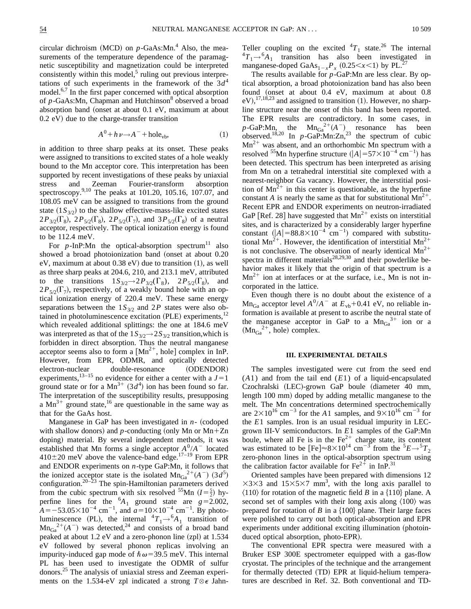circular dichroism  $(MCD)$  on  $p$ -GaAs:Mn.<sup>4</sup> Also, the measurements of the temperature dependence of the paramagnetic susceptibility and magnetization could be interpreted consistently within this model, $5$  ruling out previous interpretations of such experiments in the framework of the  $3d<sup>4</sup>$ model.6,7 In the first paper concerned with optical absorption of *p*-GaAs:Mn, Chapman and Hutchinson<sup>8</sup> observed a broad absorption band (onset at about  $0.1$  eV, maximum at about  $(0.2 \text{ eV})$  due to the charge-transfer transition

$$
A^0 + h\nu \to A^- + \text{hole}_{\text{vb}},\tag{1}
$$

in addition to three sharp peaks at its onset. These peaks were assigned to transitions to excited states of a hole weakly bound to the Mn acceptor core. This interpretation has been supported by recent investigations of these peaks by uniaxial stress and Zeeman Fourier-transform absorption spectroscopy.9,10 The peaks at 101.20, 105.16, 107.07, and 108.05 meV can be assigned to transitions from the ground state  $(1S_{3/2})$  to the shallow effective-mass-like excited states  $2P_{3/2}(\Gamma_8)$ ,  $2P_{5/2}(\Gamma_8)$ ,  $2P_{5/2}(\Gamma_7)$ , and  $3P_{5/2}(\Gamma_8)$  of a neutral acceptor, respectively. The optical ionization energy is found to be 112.4 meV.

For  $p$ -InP:Mn the optical-absorption spectrum<sup>11</sup> also showed a broad photoionization band (onset at about 0.20 eV, maximum at about  $0.38$  eV) due to transition  $(1)$ , as well as three sharp peaks at 204.6, 210, and 213.1 meV, attributed to the transitions  $1S_{3/2} \rightarrow 2P_{3/2}(\Gamma_8)$ ,  $2P_{5/2}(\Gamma_8)$ , and  $2P_{5/2}(\Gamma_7)$ , respectively, of a weakly bound hole with an optical ionization energy of 220.4 meV. These same energy separations between the  $1S_{3/2}$  and  $2P$  states were also obtained in photoluminescence excitation (PLE) experiments, $12$ which revealed additional splittings: the one at 184.6 meV was interpreted as that of the  $1S_{3/2}$   $\rightarrow$   $2S_{3/2}$  transition, which is forbidden in direct absorption. Thus the neutral manganese acceptor seems also to form a  $[Mn^{2+}]$ , hole complex in InP. However, from EPR, ODMR, and optically detected electron-nuclear double-resonance (ODENDOR) experiments,  $13-15$  no evidence for either a center with a  $J=1$ ground state or for a  $Mn^{3+}$  (3d<sup>4</sup>) ion has been found so far. The interpretation of the susceptibility results, presupposing a  $Mn^{3+}$  ground state,<sup>16</sup> are questionable in the same way as that for the GaAs host.

Manganese in GaP has been investigated in  $n-$  (codoped with shallow donors) and  $p$ -conducting (only Mn or Mn+Zn doping) material. By several independent methods, it was established that Mn forms a single acceptor  $A^0/A^-$  located  $410\pm20$  meV above the valence-band edge.<sup>17–19</sup> From EPR and ENDOR experiments on *n*-type GaP:Mn, it follows that the ionized acceptor state is the isolated  $\text{Mn}_{Ga}^{2+}(A^-)$  (3*d*<sup>5</sup>) configuration.<sup>20–23</sup> The spin-Hamiltonian parameters derived from the cubic spectrum with six resolved <sup>55</sup>Mn  $(I = \frac{5}{2})$  hyperfine lines for the  ${}^{6}A_1$  ground state are  $g=2.002$ ,  $\hat{A} = -53.05 \times 10^{-4}$  cm<sup>-1</sup>, and  $a = 10 \times 10^{-4}$  cm<sup>-1</sup>. By photoluminescence (PL), the internal  ${}^{4}T_{1} \rightarrow {}^{6}A_{1}$  transition of  $\text{Mn}_{Ga}^{2+}(A^-)$  was detected,<sup>24</sup> and consists of a broad band peaked at about  $1.2$  eV and a zero-phonon line (zpl) at  $1.534$ eV followed by several phonon replicas involving an impurity-induced gap mode of  $\hbar \omega$ =39.5 meV. This internal PL has been used to investigate the ODMR of sulfur donors.<sup>25</sup> The analysis of uniaxial stress and Zeeman experiments on the 1.534-eV zpl indicated a strong  $T \otimes \epsilon$  Jahn-

Teller coupling on the excited  ${}^{4}T_{1}$  state.<sup>26</sup> The internal  ${}^{4}T_{1} \rightarrow {}^{6}A_{1}$  transition has also been investigated in manganese-doped GaAs<sub>1-*x*</sub> $P_x$  (0.25 < *x* < 1) by PL.<sup>27</sup>

The results available for *p*-GaP:Mn are less clear. By optical absorption, a broad photoionization band has also been found (onset at about  $0.4$  eV, maximum at about  $0.8$  $eV$ ,  $^{17,18,23}$  and assigned to transition (1). However, no sharpline structure near the onset of this band has been reported. The EPR results are contradictory. In some cases, in  $p$ -GaP:Mn, the Mn<sub>Ga</sub><sup>2+</sup>(A<sup>-</sup>)<sub>o</sub> resonance has been observed.<sup>18,20</sup> In  $p$ -GaP:Mn:Zn,<sup>23</sup> the spectrum of cubic  $Mn^{2+}$  was absent, and an orthorhombic Mn spectrum with a resolved <sup>55</sup>Mn hyperfine structure  $(|A| = 57 \times 10^{-4} \text{ cm}^{-1})$  has been detected. This spectrum has been interpreted as arising from Mn on a tetrahedral interstitial site complexed with a nearest-neighbor Ga vacancy. However, the interstitial position of  $Mn^{2+}$  in this center is questionable, as the hyperfine constant *A* is nearly the same as that for substitutional  $Mn^{2+}$ . Recent EPR and ENDOR experiments on neutron-irradiated GaP [Ref. 28] have suggested that  $Mn^{2+}$  exists on interstitial sites, and is characterized by a considerably larger hyperfine constant  $(|A| = 88.8 \times 10^{-4}$  cm<sup>-1</sup>) compared with substitutional Mn<sup>2+</sup>. However, the identification of interstitial Mn<sup>2+</sup> is not conclusive. The observation of nearly identical  $Mn^{2+}$ spectra in different materials $28,29,30$  and their powderlike behavior makes it likely that the origin of that spectrum is a  $Mn^{2+}$  ion at interfaces or at the surface, i.e., Mn is not incorporated in the lattice.

Even though there is no doubt about the existence of a  $Mn_{Ga}$  acceptor level  $A^{0}/A^{-}$  at  $E_{vb}+0.41$  eV, no reliable information is available at present to ascribe the neutral state of the manganese acceptor in GaP to a  $Mn_{Ga}^{3+}$  ion or a  $(Mn_{Ga}^{2+})$ , hole) complex.

## **III. EXPERIMENTAL DETAILS**

The samples investigated were cut from the seed end (*A*1) and from the tail end (*E*1) of a liquid-encapsulated Czochralski (LEC)-grown GaP boule (diameter 40 mm, length 100 mm) doped by adding metallic manganese to the melt. The Mn concentrations determined spectrochemically are  $2\times10^{16}$  cm<sup>-3</sup> for the *A*1 samples, and  $9\times10^{16}$  cm<sup>-3</sup> for the *E*1 samples. Iron is an usual residual impurity in LECgrown III-V semiconductors. In *E*1 samples of the GaP:Mn boule, where all Fe is in the  $Fe<sup>2+</sup>$  charge state, its content was estimated to be  $[Fe] \approx 8 \times 10^{14}$  cm<sup>-3</sup> from the  ${}^5E \rightarrow {}^5T_2$ zero-phonon lines in the optical-absorption spectrum using the calibration factor available for  $Fe^{2+}$  in InP.<sup>31</sup>

Oriented samples have been prepared with dimensions 12  $\times$ 3 $\times$ 3 and 15 $\times$ 5 $\times$ 7 mm<sup>3</sup>, with the long axis parallel to  $\langle 110 \rangle$  for rotation of the magnetic field *B* in a  $\{110\}$  plane. A second set of samples with their long axis along  $\langle 100 \rangle$  was prepared for rotation of *B* in a  $\{100\}$  plane. Their large faces were polished to carry out both optical-absorption and EPR experiments under additional exciting illumination (photoinduced optical absorption, photo-EPR).

The conventional EPR spectra were measured with a Bruker ESP 300E spectrometer equipped with a gas-flow cryostat. The principles of the technique and the arrangement for thermally detected (TD) EPR at liquid-helium temperatures are described in Ref. 32. Both conventional and TD-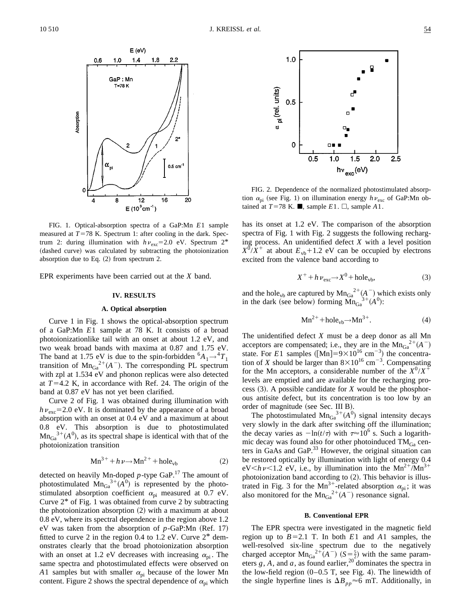

FIG. 1. Optical-absorption spectra of a GaP:Mn *E*1 sample measured at  $T=78$  K. Spectrum 1: after cooling in the dark. Spectrum 2: during illumination with  $h\nu_{\rm exc}$ =2.0 eV. Spectrum 2<sup>\*</sup> (dashed curve) was calculated by subtracting the photoionization absorption due to Eq.  $(2)$  from spectrum 2.

EPR experiments have been carried out at the *X* band.

#### **IV. RESULTS**

#### **A. Optical absorption**

Curve 1 in Fig. 1 shows the optical-absorption spectrum of a GaP:Mn *E*1 sample at 78 K. It consists of a broad photoionizationlike tail with an onset at about 1.2 eV, and two weak broad bands with maxima at 0.87 and 1.75 eV. The band at 1.75 eV is due to the spin-forbidden  ${}^6A_1 \rightarrow {}^4T_1$ transition of  $\text{Mn}_{Ga}^{2+}(A^-)$ . The corresponding PL spectrum with zpl at 1.534 eV and phonon replicas were also detected at  $T=4.2$  K, in accordance with Ref. 24. The origin of the band at 0.87 eV has not yet been clarified.

Curve 2 of Fig. 1 was obtained during illumination with  $h\nu_{\rm exc}$ =2.0 eV. It is dominated by the appearance of a broad absorption with an onset at 0.4 eV and a maximum at about 0.8 eV. This absorption is due to photostimulated  $Mn_{Ga}^{3+}(A^0)$ , as its spectral shape is identical with that of the photoionization transition

$$
Mn^{3+} + h\nu \to Mn^{2+} + hole_{vb}
$$
 (2)

detected on heavily Mn-doped *p*-type GaP.<sup>17</sup> The amount of photostimulated  $\text{Mn}_{Ga}^{3+}(A^0)$  is represented by the photostimulated absorption coefficient  $\alpha_{pi}$  measured at 0.7 eV. Curve  $2^*$  of Fig. 1 was obtained from curve 2 by subtracting the photoionization absorption  $(2)$  with a maximum at about 0.8 eV, where its spectral dependence in the region above 1.2 eV was taken from the absorption of  $p$ -GaP:Mn (Ref. 17) fitted to curve 2 in the region 0.4 to 1.2 eV. Curve 2\* demonstrates clearly that the broad photoionization absorption with an onset at 1.2 eV decreases with increasing  $\alpha_{\rm pi}$ . The same spectra and photostimulated effects were observed on *A*1 samples but with smaller  $\alpha_{pi}$  because of the lower Mn content. Figure 2 shows the spectral dependence of  $\alpha_{pi}$  which



FIG. 2. Dependence of the normalized photostimulated absorption  $\alpha_{pi}$  (see Fig. 1) on illumination energy  $h\nu_{exc}$  of GaP:Mn obtained at  $T=78$  K. **ii**, sample *E*1.  $\Box$ , sample *A*1.

has its onset at 1.2 eV. The comparison of the absorption spectra of Fig. 1 with Fig. 2 suggests the following recharging process. An unidentified defect *X* with a level position  $X^0/X^+$  at about  $E_{\rm vb}+1.2$  eV can be occupied by electrons excited from the valence band according to

$$
X^{+} + h \nu_{\text{exc}} \rightarrow X^{0} + \text{hole}_{\text{vb}},
$$
 (3)

and the hole<sub>vb</sub> are captured by  $Mn_{Ga}^{2+}(A^-)$  which exists only in the dark (see below) forming  $\overline{Mn}_{Ga}^{3+}(A^0)$ :

$$
Mn^{2+} + hole_{vb} \rightarrow Mn^{3+}.
$$
 (4)

The unidentified defect *X* must be a deep donor as all Mn acceptors are compensated; i.e., they are in the  $Mn_{Ga}^{2+}(A^-)$ state. For *E*1 samples ([Mn]=9×10<sup>16</sup> cm<sup>-3</sup>) the concentration of *X* should be larger than  $8 \times 10^{16}$  cm<sup>-3</sup>. Compensating for the Mn acceptors, a considerable number of the  $X^0/X^+$ levels are emptied and are available for the recharging process  $(3)$ . A possible candidate for *X* would be the phosphorous antisite defect, but its concentration is too low by an order of magnitude (see Sec. III B).

The photostimulated  $Mn_{Ga}^{3+}(A^0)$  signal intensity decays very slowly in the dark after switching off the illumination; the decay varies as  $-\ln(t/\tau)$  with  $\tau \approx 10^6$  s. Such a logarithmic decay was found also for other photoinduced  $TM_{Ga}$  centers in GaAs and GaP.33 However, the original situation can be restored optically by illumination with light of energy 0.4  $eV$ *kv* < 1.2 eV, i.e., by illumination into the Mn<sup>2+</sup>/Mn<sup>3+</sup> photoionization band according to  $(2)$ . This behavior is illustrated in Fig. 3 for the Mn<sup>3+</sup>-related absorption  $\alpha_{pi}$ ; it was also monitored for the  $\text{Mn}_{Ga}^{2+}(A^-)$  resonance signal.

### **B. Conventional EPR**

The EPR spectra were investigated in the magnetic field region up to  $B=2.1$  T. In both  $E1$  and  $A1$  samples, the well-resolved six-line spectrum due to the negatively charged acceptor  $\text{Mn}_{Ga}^{2+}(A^-)$  ( $S = \frac{5}{2}$ ) with the same parameters  $g$ ,  $A$ , and  $a$ , as found earlier,<sup>20</sup> dominates the spectra in the low-field region  $(0-0.5 \text{ T}$ , see Fig. 4). The linewidth of the single hyperfine lines is  $\Delta B_{pp} \approx 6$  mT. Additionally, in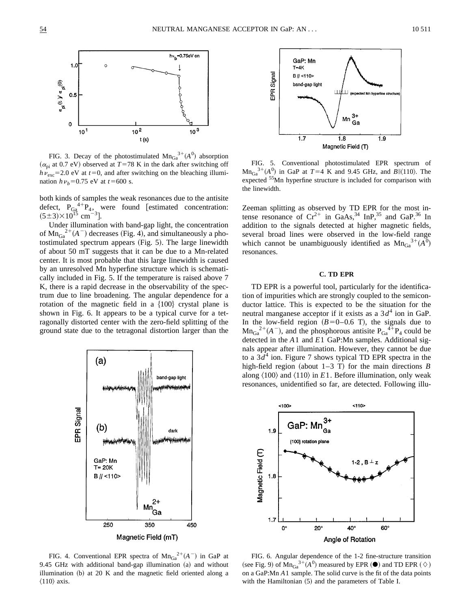

FIG. 3. Decay of the photostimulated  $\text{Mn}_{Ga}^{3+}(A^0)$  absorption  $(\alpha_{pi}$  at 0.7 eV) observed at *T*=78 K in the dark after switching off  $h v_{\text{exc}}$ =2.0 eV at *t*=0, and after switching on the bleaching illumination  $h\nu_b = 0.75$  eV at  $t = 600$  s.

both kinds of samples the weak resonances due to the antisite defect,  $P_{G_4}^{4+}P_{4}$ , were found [estimated concentration:  $(5\pm3)\times10^{15}$  cm<sup>-3</sup>].

Under illumination with band-gap light, the concentration of  $\text{Mn}_{Ga}^{2+}(A^-)$  decreases (Fig. 4), and simultaneously a photostimulated spectrum appears  $(Fig. 5)$ . The large linewidth of about 50 mT suggests that it can be due to a Mn-related center. It is most probable that this large linewidth is caused by an unresolved Mn hyperfine structure which is schematically included in Fig. 5. If the temperature is raised above 7 K, there is a rapid decrease in the observability of the spectrum due to line broadening. The angular dependence for a rotation of the magnetic field in a  $\{100\}$  crystal plane is shown in Fig. 6. It appears to be a typical curve for a tetragonally distorted center with the zero-field splitting of the ground state due to the tetragonal distortion larger than the



FIG. 4. Conventional EPR spectra of  $Mn_{Ga}^{2+}(A^-)$  in GaP at 9.45 GHz with additional band-gap illumination  $(a)$  and without illumination  $(b)$  at 20 K and the magnetic field oriented along a  $\langle 110 \rangle$  axis.



FIG. 5. Conventional photostimulated EPR spectrum of  $\text{Mn}_{Ga}^{3+}(A^0)$  in GaP at  $T=4$  K and 9.45 GHz, and  $B\|110\rangle$ . The expected 55Mn hyperfine structure is included for comparison with the linewidth.

Zeeman splitting as observed by TD EPR for the most intense resonance of  $Cr^{2+}$  in GaAs,<sup>34</sup> InP,<sup>35</sup> and GaP.<sup>36</sup> In addition to the signals detected at higher magnetic fields, several broad lines were observed in the low-field range which cannot be unambiguously identified as  $Mn_{Ga}^{3+}(A^0)$ resonances.

## **C. TD EPR**

TD EPR is a powerful tool, particularly for the identification of impurities which are strongly coupled to the semiconductor lattice. This is expected to be the situation for the neutral manganese acceptor if it exists as a  $3d<sup>4</sup>$  ion in GaP. In the low-field region  $(B=0-0.6 \text{ T})$ , the signals due to  $Mn_{Ga}^{2+}(A^-)$ , and the phosphorous antisite  $P_{Ga}^{4+}P_4$  could be detected in the *A*1 and *E*1 GaP:Mn samples. Additional signals appear after illumination. However, they cannot be due to a  $3d^4$  ion. Figure 7 shows typical TD EPR spectra in the high-field region (about  $1-3$  T) for the main directions *B* along  $\langle 100 \rangle$  and  $\langle 110 \rangle$  in *E*1. Before illumination, only weak resonances, unidentified so far, are detected. Following illu-



FIG. 6. Angular dependence of the 1-2 fine-structure transition (see Fig. 9) of  $\text{Mn}_{Ga}^{3+}(A^0)$  measured by EPR ( $\odot$ ) and TD EPR ( $\diamond$ ) on a GaP:Mn *A*1 sample. The solid curve is the fit of the data points with the Hamiltonian  $(5)$  and the parameters of Table I.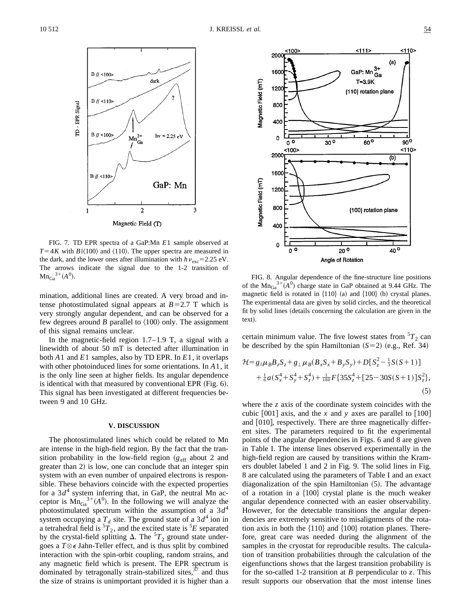

FIG. 7. TD EPR spectra of a GaP:Mn *E*1 sample observed at  $T=4K$  with *B*|| $\langle 100 \rangle$  and  $\langle 110 \rangle$ . The upper spectra are measured in the dark, and the lower ones after illumination with  $h\nu_{\rm exc}$ =2.25 eV. The arrows indicate the signal due to the 1-2 transition of  $Mn_{Ga}^{3+}(A^0)$ .

mination, additional lines are created. A very broad and intense photostimulated signal appears at  $B=2.7$  T which is very strongly angular dependent, and can be observed for a few degrees around *B* parallel to  $\langle 100 \rangle$  only. The assignment of this signal remains unclear.

In the magnetic-field region  $1.7-1.9$  T, a signal with a linewidth of about 50 mT is detected after illumination in both *A*1 and *E*1 samples, also by TD EPR. In *E*1, it overlaps with other photoinduced lines for some orientations. In *A*1, it is the only line seen at higher fields. Its angular dependence is identical with that measured by conventional EPR  $(Fig. 6)$ . This signal has been investigated at different frequencies between 9 and 10 GHz.

### **V. DISCUSSION**

The photostimulated lines which could be related to Mn are intense in the high-field region. By the fact that the transition probability in the low-field region  $(g_{\text{eff}})$  about 2 and greater than 2) is low, one can conclude that an integer spin system with an even number of unpaired electrons is responsible. These behaviors coincide with the expected properties for a  $3d<sup>4</sup>$  system inferring that, in GaP, the neutral Mn acceptor is  $\text{Mn}_{Ga}^{3+}(A^0)$ . In the following we will analyze the photostimulated spectrum within the assumption of a  $3d<sup>4</sup>$ system occupying a  $T_d$  site. The ground state of a  $3d^4$  ion in a tetrahedral field is  ${}^{5}T_2$ , and the excited state is  ${}^{5}E$  separated by the crystal-field splitting  $\Delta$ . The  ${}^{5}T_{2}$  ground state undergoes a  $T \otimes \epsilon$  Jahn-Teller effect, and is thus split by combined interaction with the spin-orbit coupling, random strains, and any magnetic field which is present. The EPR spectrum is dominated by tetragonally strain-stabilized sites,  $37$  and thus the size of strains is unimportant provided it is higher than a



!. FIG. 8. Angular dependence of the fine-structure line positions of the  $\text{Mn}_{Ga}^{3+}(A^0)$  charge state in GaP obtained at 9.44 GHz. The magnetic field is rotated in  $\{110\}$  (a) and  $\{100\}$  (b) crystal planes. The experimental data are given by solid circles, and the theoretical fit by solid lines (details concerning the calculation are given in the text).

certain minimum value. The five lowest states from  ${}^{5}T_{2}$  can be described by the spin Hamiltonian  $(S=2)$  (e.g., Ref. 34)

$$
\mathcal{H} = g_{\parallel} \mu_B B_z S_z + g_{\perp} \mu_B (B_x S_x + B_y S_y) + D [S_z^2 - \frac{1}{3} S(S+1)] \n+ \frac{1}{6} a (S_x^4 + S_y^4 + S_z^4) + \frac{1}{180} F \{35 S_z^4 + [25 - 30 S(S+1)] S_z^2 \},
$$
\n(5)

where the *z* axis of the coordinate system coincides with the cubic  $[001]$  axis, and the *x* and *y* axes are parallel to  $[100]$ and  $[010]$ , respectively. There are three magnetically different sites. The parameters required to fit the experimental points of the angular dependencies in Figs. 6 and 8 are given in Table I. The intense lines observed experimentally in the high-field region are caused by transitions within the Kramers doublet labeled 1 and 2 in Fig. 9. The solid lines in Fig. 8 are calculated using the parameters of Table I and an exact diagonalization of the spin Hamiltonian  $(5)$ . The advantage of a rotation in a  $\{100\}$  crystal plane is the much weaker angular dependence connected with an easier observability. However, for the detectable transitions the angular dependencies are extremely sensitive to misalignments of the rotation axis in both the  $\{110\}$  and  $\{100\}$  rotation planes. Therefore, great care was needed during the alignment of the samples in the cryostat for reproducible results. The calculation of transition probabilities through the calculation of the eigenfunctions shows that the largest transition probability is for the so-called 1-2 transition at *B* perpendicular to *z*. This result supports our observation that the most intense lines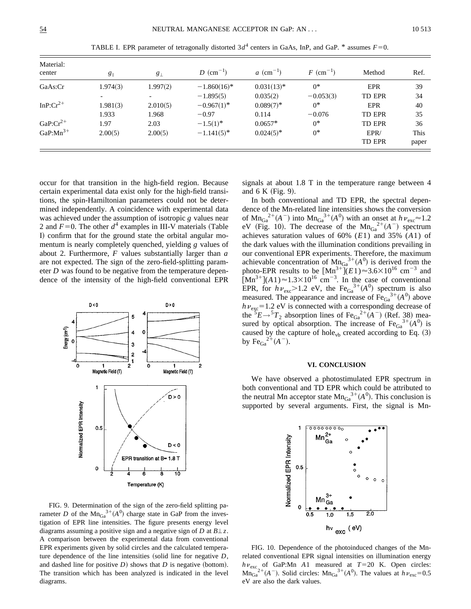| Material:<br>center | $g_{\parallel}$ | $g_{\perp}$ | $D$ (cm <sup>-1</sup> ) | $a \text{ (cm}^{-1})$ | $F$ (cm <sup>-1</sup> ) | Method        | Ref.  |
|---------------------|-----------------|-------------|-------------------------|-----------------------|-------------------------|---------------|-------|
| GaAs:Cr             | 1.974(3)        | 1.997(2)    | $-1.860(16)^*$          | $0.031(13)*$          | $0^*$                   | EPR           | 39    |
|                     |                 |             | $-1.895(5)$             | 0.035(2)              | $-0.053(3)$             | <b>TD EPR</b> | 34    |
| In $P:Cr^{2+}$      | 1.981(3)        | 2.010(5)    | $-0.967(1)^{*}$         | $0.089(7)^*$          | $0^*$                   | <b>EPR</b>    | 40    |
|                     | 1.933           | 1.968       | $-0.97$                 | 0.114                 | $-0.076$                | <b>TD EPR</b> | 35    |
| $GaP:Cr^{2+}$       | 1.97            | 2.03        | $-1.5(1)^{*}$           | $0.0657*$             | $0^*$                   | <b>TD EPR</b> | 36    |
| GaP: $Mn^{3+}$      | 2.00(5)         | 2.00(5)     | $-1.141(5)^{*}$         | $0.024(5)$ *          | $0^*$                   | EPR/          | This  |
|                     |                 |             |                         |                       |                         | <b>TD EPR</b> | paper |

TABLE I. EPR parameter of tetragonally distorted  $3d^4$  centers in GaAs, InP, and GaP. \* assumes  $F=0$ .

occur for that transition in the high-field region. Because certain experimental data exist only for the high-field transitions, the spin-Hamiltonian parameters could not be determined independently. A coincidence with experimental data was achieved under the assumption of isotropic *g* values near 2 and  $F=0$ . The other  $d^4$  examples in III-V materials (Table I) confirm that for the ground state the orbital angular momentum is nearly completely quenched, yielding *g* values of about 2. Furthermore, *F* values substantially larger than *a* are not expected. The sign of the zero-field-splitting parameter *D* was found to be negative from the temperature dependence of the intensity of the high-field conventional EPR



FIG. 9. Determination of the sign of the zero-field splitting parameter *D* of the  $Mn_{Ga}^{3+}(A^0)$  charge state in GaP from the investigation of EPR line intensities. The figure presents energy level diagrams assuming a positive sign and a negative sign of *D* at  $B\perp z$ . A comparison between the experimental data from conventional EPR experiments given by solid circles and the calculated temperature dependence of the line intensities (solid line for negative  $D$ , and dashed line for positive  $D$ ) shows that  $D$  is negative (bottom). The transition which has been analyzed is indicated in the level diagrams.

signals at about 1.8 T in the temperature range between 4 and  $6 K$  (Fig. 9).

In both conventional and TD EPR, the spectral dependence of the Mn-related line intensities shows the conversion of  $\text{Mn}_{Ga}^{2+}(A^-)$  into  $\text{Mn}_{Ga}^{3+}(A^0)$  with an onset at  $h\nu_{exc} \approx 1.2$ eV (Fig. 10). The decrease of the  $Mn_{Ga}^{2+}(A^-)$  spectrum achieves saturation values of 60% (*E*1) and 35% (*A*1) of the dark values with the illumination conditions prevailing in our conventional EPR experiments. Therefore, the maximum achievable concentration of  $Mn_{Ga}^{3+}(A^0)$  is derived from the photo-EPR results to be  $[Mn^{3+}](E1) \approx 3.6 \times 10^{16}$  cm<sup>-3</sup> and  $[Mn^{3+}](A1) \approx 1.3 \times 10^{16}$  cm<sup>-3</sup>. In the case of conventional EPR, for  $h\nu_{\text{exc}} > 1.2$  eV, the Fe<sub>Ga</sub><sup>3+</sup>( $A^0$ ) spectrum is also measured. The appearance and increase of  $Fe<sub>Ga</sub><sup>3+</sup>(A<sup>0</sup>)$  above  $h\nu_{\text{exc}}$ =1.2 eV is connected with a corresponding decrease of the  ${}^5E \rightarrow {}^5T_2$  absorption lines of Fe<sub>Ga</sub><sup>2+</sup>(A<sup>-</sup>) (Ref. 38) measured by optical absorption. The increase of  $Fe<sub>Ga</sub><sup>3+</sup>(A<sup>0</sup>)$  is caused by the capture of hole<sub>vb</sub> created according to Eq.  $(3)$ by  $\text{Fe}_{\text{Ga}}^{2+}(A^{-})$ .

#### **VI. CONCLUSION**

We have observed a photostimulated EPR spectrum in both conventional and TD EPR which could be attributed to the neutral Mn acceptor state  $Mn_{Ga}^{3+}(A^0)$ . This conclusion is supported by several arguments. First, the signal is Mn-

![](_page_5_Figure_12.jpeg)

FIG. 10. Dependence of the photoinduced changes of the Mnrelated conventional EPR signal intensities on illumination energy  $h\nu_{\text{exc}}$  of GaP:Mn *A*1 measured at *T*=20 K. Open circles:  $\text{Mn}_{Ga}^{2+}(A^-)$ . Solid circles:  $\text{Mn}_{Ga}^{3+}(A^0)$ . The values at  $h\nu_{exc}=0.5$ eV are also the dark values.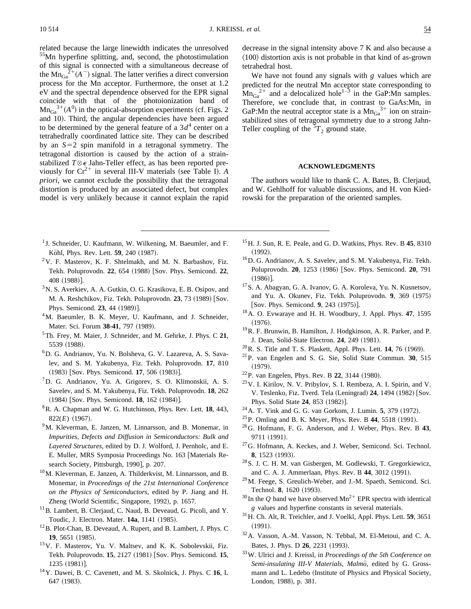related because the large linewidth indicates the unresolved 55Mn hyperfine splitting, and, second, the photostimulation of this signal is connected with a simultaneous decrease of the  $\text{Mn}_{Ga}^{2+}(A^-)$  signal. The latter verifies a direct conversion process for the Mn acceptor. Furthermore, the onset at 1.2 eV and the spectral dependence observed for the EPR signal coincide with that of the photoionization band of  $\text{Mn}_{Ga}^{3+}(A^0)$  in the optical-absorption experiments (cf. Figs. 2) and 10). Third, the angular dependencies have been argued decrease in the signal intensity above 7 K and also because a  $\langle 100 \rangle$  distortion axis is not probable in that kind of as-grown tetrahedral host. We have not found any signals with *g* values which are predicted for the neutral Mn acceptor state corresponding to  $\text{Mn}_{Ga}^{2+}$  and a delocalized hole<sup>1–3</sup> in the GaP:Mn samples. Therefore, we conclude that, in contrast to GaAs:Mn, in GaP:Mn the neutral acceptor state is a  $Mn_{Ga}^{3+}$  ion on strainstabilized sites of tetragonal symmetry due to a strong Jahn-

## **ACKNOWLEDGMENTS**

Teller coupling of the  $5T_2$  ground state.

The authors would like to thank C. A. Bates, B. Clerjaud, and W. Gehlhoff for valuable discussions, and H. von Kiedrowski for the preparation of the oriented samples.

<sup>1</sup> J. Schneider, U. Kaufmann, W. Wilkening, M. Baeumler, and F. Köhl, Phys. Rev. Lett. **59**, 240 (1987).

to be determined by the general feature of a  $3d<sup>4</sup>$  center on a tetrahedrally coordinated lattice site. They can be described by an  $S=2$  spin manifold in a tetragonal symmetry. The tetragonal distortion is caused by the action of a strainstabilized  $T \otimes \epsilon$  Jahn-Teller effect, as has been reported previously for  $Cr^{2+}$  in several III-V materials (see Table I). *A priori*, we cannot exclude the possibility that the tetragonal distortion is produced by an associated defect, but complex model is very unlikely because it cannot explain the rapid

- $2V$ . F. Masterov, K. F. Shtelmakh, and M. N. Barbashov, Fiz. Tekh. Poluprovodn. 22, 654 (1988) [Sov. Phys. Semicond. 22, 408 (1988)].
- <sup>3</sup>N. S. Averkiev, A. A. Gutkin, O. G. Krasikova, E. B. Osipov, and M. A. Reshchikov, Fiz. Tekh. Poluprovodn. **23**, 73 (1989) [Sov. Phys. Semicond. 23, 44 (1989)].
- <sup>4</sup>M. Baeumler, B. K. Meyer, U. Kaufmann, and J. Schneider, Mater. Sci. Forum 38-41, 797 (1989).
- 5Th. Frey, M. Maier, J. Schneider, and M. Gehrke, J. Phys. C **21**, 5539 (1988).
- 6D. G. Andrianov, Yu. N. Bolsheva, G. V. Lazareva, A. S. Savalev, and S. M. Yakubenya, Fiz. Tekh. Poluprovodn. **17**, 810 (1983) [Sov. Phys. Semicond. 17, 506 (1983)].
- ${}^{7}D$ . G. Andrianov, Yu. A. Grigorev, S. O. Klimonskii, A. S. Savelev, and S. M. Yakubenya, Fiz. Tekh. Poluprovodn. **18**, 262 (1984) [Sov. Phys. Semicond. **18**, 162 (1984)].
- 8R. A. Chapman and W. G. Hutchinson, Phys. Rev. Lett. **18**, 443,  $822(E)$  (1967).
- <sup>9</sup>M. Kleverman, E. Janzen, M. Linnarsson, and B. Monemar, in *Impurities, Defects and Diffusion in Semiconductors: Bulk and Layered Structures*, edited by D. J. Wolford, J. Pernholc, and E. E. Muller, MRS Symposia Proceedings No. 163 [Materials Research Society, Pittsburgh, 1990], p. 207.
- 10M. Kleverman, E. Janzen, A. Thilderkvist, M. Linnarsson, and B. Monemar, in *Proceedings of the 21st International Conference on the Physics of Semiconductors*, edited by P. Jiang and H. Zheng (World Scientific, Singapore, 1992), p. 1657.
- <sup>11</sup>B. Lambert, B. Clerjaud, C. Naud, B. Deveaud, G. Picoli, and Y. Toudic, J. Electron. Mater. **14a**, 1141 (1985).
- 12B. Plot-Chan, B. Deveaud, A. Rupert, and B. Lambert, J. Phys. C **19**, 5651 (1985).
- <sup>13</sup>V. F. Masterov, Yu. V. Maltsev, and K. K. Sobolevskii, Fiz. Tekh. Poluprovodn. **15**, 2127 (1981) [Sov. Phys. Semicond. **15**,  $1235 (1981)$ .
- 14Y. Dawei, B. C. Cavenett, and M. S. Skolnick, J. Phys. C **16**, L 647 (1983).
- 15H. J. Sun, R. E. Peale, and G. D. Watkins, Phys. Rev. B **45**, 8310  $(1992).$
- 16D. G. Andrianov, A. S. Savelev, and S. M. Yakubenya, Fiz. Tekh. Poluprovodn. **20**, 1253 (1986) [Sov. Phys. Semicond. **20**, 791  $(1986)$ ].
- 17S. A. Abagyan, G. A. Ivanov, G. A. Koroleva, Yu. N. Kusnetsov, and Yu. A. Okunev, Fiz. Tekh. Poluprovodn. 9, 369 (1975) [Sov. Phys. Semicond. 9, 243 (1975)].
- 18A. O. Evwaraye and H. H. Woodbury, J. Appl. Phys. **47**, 1595  $(1976).$
- 19R. F. Brunwin, B. Hamilton, J. Hodgkinson, A. R. Parker, and P. J. Dean, Solid-State Electron. **24**, 249 (1981).
- $^{20}$ R. S. Title and T. S. Plaskett, Appl. Phys. Lett. **14**, 76 (1969).
- 21P. van Engelen and S. G. Sie, Solid State Commun. **30**, 515  $(1979).$
- $22$ P. van Engelen, Phys. Rev. B 22, 3144 (1980).
- 23V. I. Kirilov, N. V. Pribylov, S. I. Rembeza, A. I. Spirin, and V. V. Teslenko, Fiz. Tverd. Tela (Leningrad) 24, 1494 (1982) [Sov. Phys. Solid State 24, 853 (1982)].
- $24$ A. T. Vink and G. G. van Gorkom, J. Lumin. **5**, 379 (1972).
- $^{25}$ P. Omling and B. K. Meyer, Phys. Rev. B 44, 5518 (1991).
- 26G. Hofmann, F. G. Anderson, and J. Weber, Phys. Rev. B **43**, 9711 (1991).
- <sup>27</sup>G. Hofmann, A. Keckes, and J. Weber, Semicond. Sci. Technol. **8**, 1523 (1993).
- 28S. J. C. H. M. van Gisbergen, M. Godlewski, T. Gregorkiewicz, and C. A. J. Ammerlaan, Phys. Rev. B 44, 3012 (1991).
- 29M. Feege, S. Greulich-Weber, and J.-M. Spaeth, Semicond. Sci. Technol. 8, 1620 (1993).
- $30$  In the Q band we have observed Mn<sup>2+</sup> EPR spectra with identical *g* values and hyperfine constants in several materials.
- 31H. Ch. Alt, R. Treichler, and J. Voelkl, Appl. Phys. Lett. **59**, 3651  $(1991).$
- 32A. Vasson, A.-M. Vasson, N. Tebbal, M. El-Metoui, and C. A. Bates, J. Phys. D **26**, 2231 (1993).
- 33W. Ulrici and J. Kreissl, in *Proceedings of the 5th Conference on* Semi-insulating III-V Materials, Malmö, edited by G. Grossmann and L. Ledebo (Institute of Physics and Physical Society, London, 1988), p. 381.